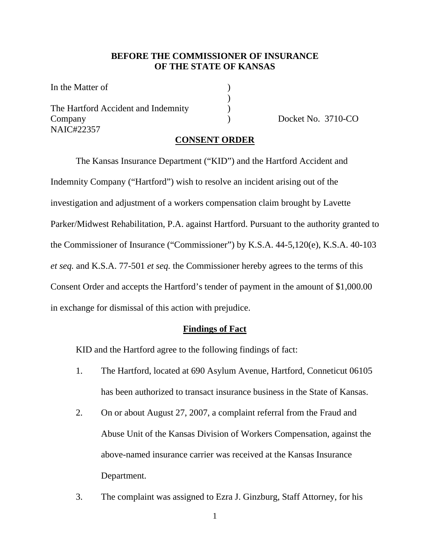### **BEFORE THE COMMISSIONER OF INSURANCE OF THE STATE OF KANSAS**

In the Matter of  $\qquad \qquad$  )  $)$ The Hartford Accident and Indemnity (a) Company Docket No. 3710-CO NAIC#22357

#### **CONSENT ORDER**

 The Kansas Insurance Department ("KID") and the Hartford Accident and Indemnity Company ("Hartford") wish to resolve an incident arising out of the investigation and adjustment of a workers compensation claim brought by Lavette Parker/Midwest Rehabilitation, P.A. against Hartford. Pursuant to the authority granted to the Commissioner of Insurance ("Commissioner") by K.S.A. 44-5,120(e), K.S.A. 40-103 *et seq.* and K.S.A. 77-501 *et seq.* the Commissioner hereby agrees to the terms of this Consent Order and accepts the Hartford's tender of payment in the amount of \$1,000.00 in exchange for dismissal of this action with prejudice.

#### **Findings of Fact**

KID and the Hartford agree to the following findings of fact:

- 1. The Hartford, located at 690 Asylum Avenue, Hartford, Conneticut 06105 has been authorized to transact insurance business in the State of Kansas.
- 2. On or about August 27, 2007, a complaint referral from the Fraud and Abuse Unit of the Kansas Division of Workers Compensation, against the above-named insurance carrier was received at the Kansas Insurance Department.
- 3. The complaint was assigned to Ezra J. Ginzburg, Staff Attorney, for his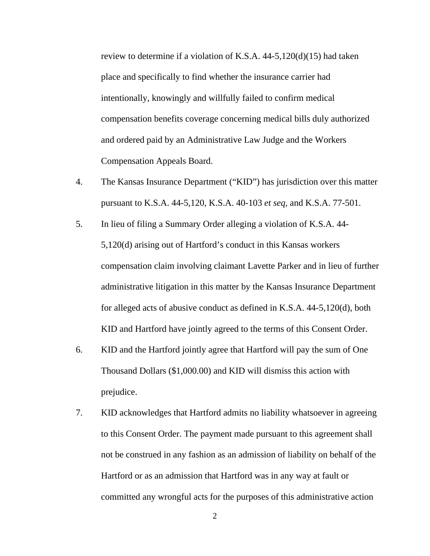review to determine if a violation of K.S.A. 44-5,120(d)(15) had taken place and specifically to find whether the insurance carrier had intentionally, knowingly and willfully failed to confirm medical compensation benefits coverage concerning medical bills duly authorized and ordered paid by an Administrative Law Judge and the Workers Compensation Appeals Board.

- 4. The Kansas Insurance Department ("KID") has jurisdiction over this matter pursuant to K.S.A. 44-5,120, K.S.A. 40-103 *et seq,* and K.S.A. 77-501.
- 5. In lieu of filing a Summary Order alleging a violation of K.S.A. 44- 5,120(d) arising out of Hartford's conduct in this Kansas workers compensation claim involving claimant Lavette Parker and in lieu of further administrative litigation in this matter by the Kansas Insurance Department for alleged acts of abusive conduct as defined in K.S.A. 44-5,120(d), both KID and Hartford have jointly agreed to the terms of this Consent Order.
- 6. KID and the Hartford jointly agree that Hartford will pay the sum of One Thousand Dollars (\$1,000.00) and KID will dismiss this action with prejudice.
- 7. KID acknowledges that Hartford admits no liability whatsoever in agreeing to this Consent Order. The payment made pursuant to this agreement shall not be construed in any fashion as an admission of liability on behalf of the Hartford or as an admission that Hartford was in any way at fault or committed any wrongful acts for the purposes of this administrative action

2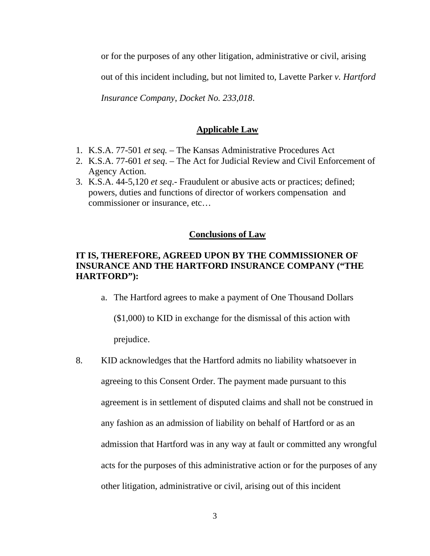or for the purposes of any other litigation, administrative or civil, arising

out of this incident including, but not limited to, Lavette Parker *v. Hartford* 

*Insurance Company*, *Docket No. 233,018*.

### **Applicable Law**

- 1. K.S.A. 77-501 *et seq.*  The Kansas Administrative Procedures Act
- 2. K.S.A. 77-601 *et seq*. The Act for Judicial Review and Civil Enforcement of Agency Action.
- 3. K.S.A. 44-5,120 *et seq*.- Fraudulent or abusive acts or practices; defined; powers, duties and functions of director of workers compensation and commissioner or insurance, etc…

## **Conclusions of Law**

# **IT IS, THEREFORE, AGREED UPON BY THE COMMISSIONER OF INSURANCE AND THE HARTFORD INSURANCE COMPANY ("THE HARTFORD"):**

a. The Hartford agrees to make a payment of One Thousand Dollars

(\$1,000) to KID in exchange for the dismissal of this action with prejudice.

8. KID acknowledges that the Hartford admits no liability whatsoever in agreeing to this Consent Order. The payment made pursuant to this agreement is in settlement of disputed claims and shall not be construed in any fashion as an admission of liability on behalf of Hartford or as an admission that Hartford was in any way at fault or committed any wrongful acts for the purposes of this administrative action or for the purposes of any other litigation, administrative or civil, arising out of this incident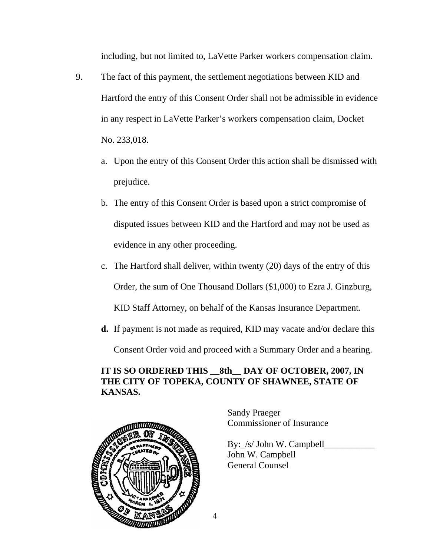including, but not limited to, LaVette Parker workers compensation claim.

- 9. The fact of this payment, the settlement negotiations between KID and Hartford the entry of this Consent Order shall not be admissible in evidence in any respect in LaVette Parker's workers compensation claim, Docket No. 233,018.
	- a. Upon the entry of this Consent Order this action shall be dismissed with prejudice.
	- b. The entry of this Consent Order is based upon a strict compromise of disputed issues between KID and the Hartford and may not be used as evidence in any other proceeding.
	- c. The Hartford shall deliver, within twenty (20) days of the entry of this Order, the sum of One Thousand Dollars (\$1,000) to Ezra J. Ginzburg, KID Staff Attorney, on behalf of the Kansas Insurance Department.
	- **d.** If payment is not made as required, KID may vacate and/or declare this

Consent Order void and proceed with a Summary Order and a hearing.

# **IT IS SO ORDERED THIS 8th DAY OF OCTOBER, 2007, IN THE CITY OF TOPEKA, COUNTY OF SHAWNEE, STATE OF KANSAS.**



Sandy Praeger Commissioner of Insurance

By: /s/ John W. Campbell John W. Campbell General Counsel